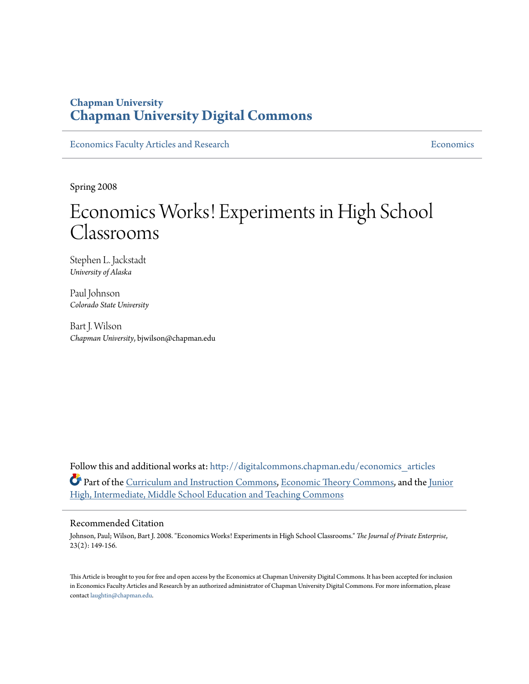# **Chapman University [Chapman University Digital Commons](http://digitalcommons.chapman.edu?utm_source=digitalcommons.chapman.edu%2Feconomics_articles%2F153&utm_medium=PDF&utm_campaign=PDFCoverPages)**

[Economics Faculty Articles and Research](http://digitalcommons.chapman.edu/economics_articles?utm_source=digitalcommons.chapman.edu%2Feconomics_articles%2F153&utm_medium=PDF&utm_campaign=PDFCoverPages) **[Economics](http://digitalcommons.chapman.edu/economics?utm_source=digitalcommons.chapman.edu%2Feconomics_articles%2F153&utm_medium=PDF&utm_campaign=PDFCoverPages)** Economics

Spring 2008

# Economics Works! Experiments in High School Classrooms

Stephen L. Jackstadt *University of Alaska*

Paul Johnson *Colorado State University*

Bart J. Wilson *Chapman University*, bjwilson@chapman.edu

Follow this and additional works at: [http://digitalcommons.chapman.edu/economics\\_articles](http://digitalcommons.chapman.edu/economics_articles?utm_source=digitalcommons.chapman.edu%2Feconomics_articles%2F153&utm_medium=PDF&utm_campaign=PDFCoverPages) Part of the [Curriculum and Instruction Commons](http://network.bepress.com/hgg/discipline/786?utm_source=digitalcommons.chapman.edu%2Feconomics_articles%2F153&utm_medium=PDF&utm_campaign=PDFCoverPages), [Economic Theory Commons,](http://network.bepress.com/hgg/discipline/344?utm_source=digitalcommons.chapman.edu%2Feconomics_articles%2F153&utm_medium=PDF&utm_campaign=PDFCoverPages) and the [Junior](http://network.bepress.com/hgg/discipline/807?utm_source=digitalcommons.chapman.edu%2Feconomics_articles%2F153&utm_medium=PDF&utm_campaign=PDFCoverPages) [High, Intermediate, Middle School Education and Teaching Commons](http://network.bepress.com/hgg/discipline/807?utm_source=digitalcommons.chapman.edu%2Feconomics_articles%2F153&utm_medium=PDF&utm_campaign=PDFCoverPages)

#### Recommended Citation

Johnson, Paul; Wilson, Bart J. 2008. "Economics Works! Experiments in High School Classrooms." *The Journal of Private Enterprise*, 23(2): 149-156.

This Article is brought to you for free and open access by the Economics at Chapman University Digital Commons. It has been accepted for inclusion in Economics Faculty Articles and Research by an authorized administrator of Chapman University Digital Commons. For more information, please contact [laughtin@chapman.edu](mailto:laughtin@chapman.edu).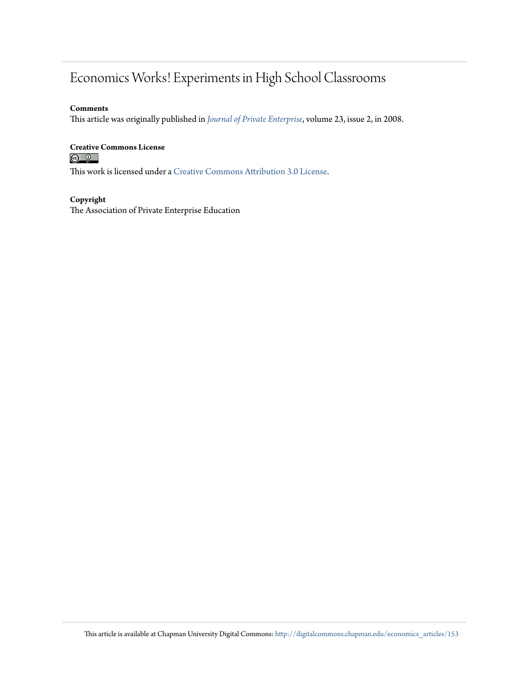# Economics Works! Experiments in High School Classrooms

#### **Comments**

This article was originally published in *[Journal of Private Enterprise](http://journal.apee.org/index.php?title=Spring2008_9)*, volume 23, issue 2, in 2008.

# **Creative Commons License**<br> **C** <u>**Q**</u> **Q**

This work is licensed under a [Creative Commons Attribution 3.0 License.](http://creativecommons.org/licenses/by/3.0/)

#### **Copyright**

The Association of Private Enterprise Education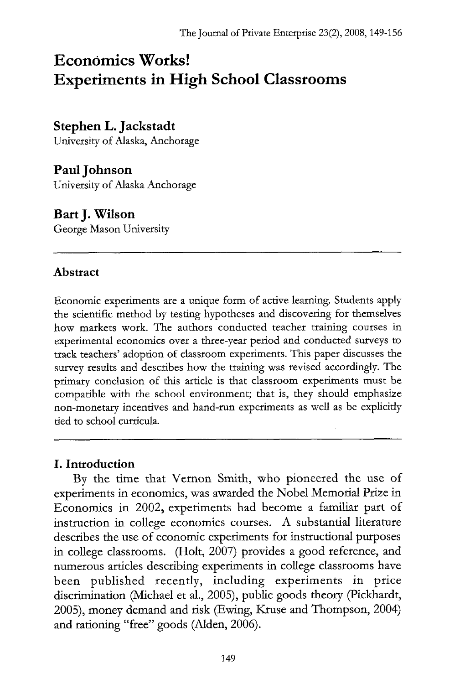# **Economics Works! Experiments in High School Classrooms**

# **Stephen L. Jackstadt**

University of Alaska, Anchorage

# **Paul Johnson**

University of Alaska Anchorage

# **Bart J. Wilson**

George Mason University

## **Abstract**

Economic experiments are a unique form of active learning. Students apply the scientific method by testing hypotheses and discovering for themselves how markets work. The authors conducted teacher training courses in experimental economics over a three-year period and conducted surveys to track teachers' adoption of classroom experiments. This paper discusses the survey results and describes how the training was revised accordingly. The primary conclusion of this article is that classroom experiments must be compatible with the school environment; that is, they should emphasize non-monetary incentives and hand-run experiments as well as be explicitly tied to school curricula.

## **I. Introduction**

By the time that Vernon Smith, who pioneered the use of experiments in economics, was awarded the Nobel Memorial Prize in Economics in 2002, experiments had become a familiar part of instruction in college economics courses. A substantial literature describes the use of economic experiments for instructional purposes in college classrooms. (Holt, 2007) provides a good reference, and numerous articles describing experiments in college classrooms have been published recently, including experiments in price discrimination (Michael et al., 2005), public goods theory (Pickhardt, 2005), money demand and risk (Ewing, Kruse and Thompson, 2004) and rationing "free" goods (Alden, 2006).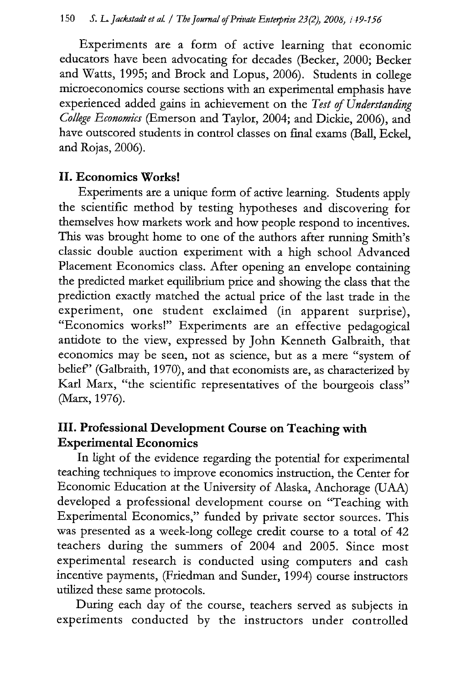Experiments are a form of active learning that economic educators have been advocating for decades (Becker, 2000; Becker and Watts, 1995; and Brock and Lopus, 2006). Students in college microeconomics course sections with an experimental emphasis have experienced added gains in achievement on the *Test of Understanding College Economics* (Emerson and Taylor, 2004; and Dickie, 2006), and have outscored students in control classes on final exams (Ball, Eckel, and Rojas, 2006).

#### **II. Economics Works!**

Experiments are a unique form of active learning. Students apply the scientific method by testing hypotheses and discovering for themselves how markets work and how people respond to incentives. This was brought home to one of the authors after running Smith's classic double auction experiment with a high school Advanced Placement Economics class. After opening an envelope containing the predicted market equilibrium price and showing the class that the prediction exactly matched the actual price of the last trade in the experiment, one student exclaimed (in apparent surprise), "Economics works!" Experiments are an effective pedagogical antidote to the view, expressed by John Kenneth Galbraith, that economics may be seen, not as science, but as a mere "system of belief" (Galbraith, 1970), and that economists are, as characterized by Karl Marx, "the scientific representatives of the bourgeois class" (Marx, 1976).

# **III. Professional Development Course on Teaching with Experimental Economics**

In light of the evidence regarding the potential for experimental teaching techniques to improve economics instruction, the Center for Economic Education at the University of Alaska, Anchorage (UAA) developed a professional development course on "Teaching with Experimental Economics," funded by private sector sources. This was presented as a week-long college credit course to a total of 42 teachers during the summers of 2004 and 2005. Since most experimental research is conducted using computers and cash incentive payments, (Friedman and Sunder, 1994) course instructors utilized these same protocols.

During each day of the course, teachers served as subjects in experiments conducted by the instructors under controlled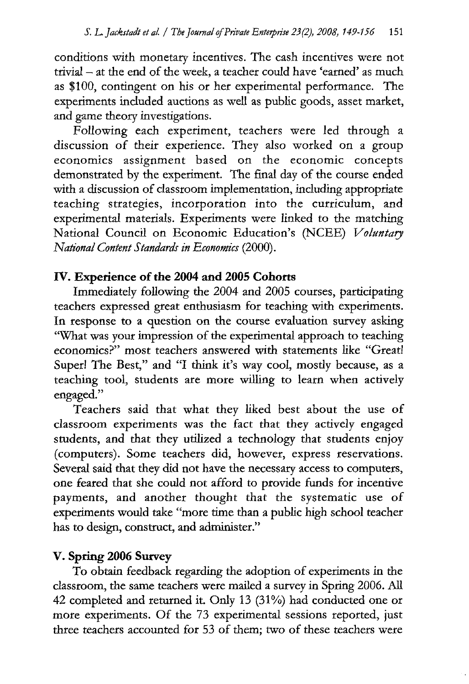conditions with monetary incentives. The cash incentives were not trivial — at the end of the week, a teacher could have 'earned' as much as \$100, contingent on his or her experimental performance. The experiments included auctions as well as public goods, asset market, and game theory investigations.

Following each experiment, teachers were led through a discussion of their experience. They also worked on a group economics assignment based on the economic concepts demonstrated by the experiment. The final day of the course ended with a discussion of classroom implementation, including appropriate teaching strategies, incorporation into the curriculum, and experimental materials. Experiments were linked to the matching National Council on Economic Education's (NCEE) *Voluntary National Content Standards in Economics* (2000).

# **IV. Experience of the 2004 and 2005 Cohorts**

Immediately following the 2004 and 2005 courses, participating teachers expressed great enthusiasm for teaching with experiments. In response to a question on the course evaluation survey asking "What was your impression of the experimental approach to teaching economics?" most teachers answered with statements like "Great! Super! The Best," and "I think it's way cool, mostly because, as a teaching tool, students are more willing to learn when actively engaged."

Teachers said that what they liked best about the use of classroom experiments was the fact that they actively engaged students, and that they utilized a technology that students enjoy (computers). Some teachers did, however, express reservations. Several said that they did not have the necessary access to computers, one feared that she could not afford to provide funds for incentive payments, and another thought that the systematic use of experiments would take "more time than a public high school teacher has to design, construct, and administer."

### **V. Spring 2006 Survey**

To obtain feedback regarding the adoption of experiments in the classroom, the same teachers were mailed a survey in Spring 2006. All 42 completed and returned it. Only 13 (31%) had conducted one or more experiments. Of the 73 experimental sessions reported, just three teachers accounted for 53 of them; two of these teachers were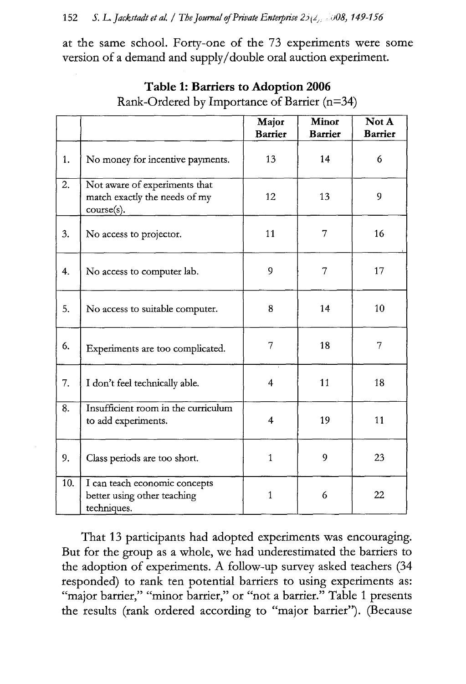at the same school. Forty-one of the 73 experiments were some version of a demand and supply/double oral auction experiment.

|                  |                                                                              | Major<br><b>Barrier</b> | Minor<br><b>Barrier</b> | Not A<br><b>Barrier</b> |
|------------------|------------------------------------------------------------------------------|-------------------------|-------------------------|-------------------------|
| 1.               | No money for incentive payments.                                             | 13                      | 14                      | 6                       |
| $\overline{2}$ . | Not aware of experiments that<br>match exactly the needs of my<br>course(s). | 12                      | 13                      | 9                       |
| 3.               | No access to projector.                                                      | 11                      | 7                       | 16                      |
| 4.               | No access to computer lab.                                                   | 9                       | 7                       | 17                      |
| 5.               | No access to suitable computer.                                              | 8                       | 14                      | 10                      |
| 6.               | Experiments are too complicated.                                             | 7                       | 18                      | 7                       |
| 7.               | I don't feel technically able.                                               | 4                       | 11                      | 18                      |
| 8.               | Insufficient room in the curriculum<br>to add experiments.                   | $\overline{\mathbf{4}}$ | 19                      | 11                      |
| 9.               | Class periods are too short.                                                 | $\mathbf{1}$            | 9                       | 23                      |
| 10.              | I can teach economic concepts<br>better using other teaching<br>techniques.  | 1                       | 6                       | 22                      |

**Table 1: Barriers to Adoption 2006** Rank-Ordered by Importance of Barrier (n=34)

That 13 participants had adopted experiments was encouraging. But for the group as a whole, we had underestimated the barriers to the adoption of experiments. A follow-up survey asked teachers (34 responded) to rank ten potential barriers to using experiments as: "major barrier," "minor barrier," or "not a barrier." Table 1 presents the results (rank ordered according to "major barrier"). (Because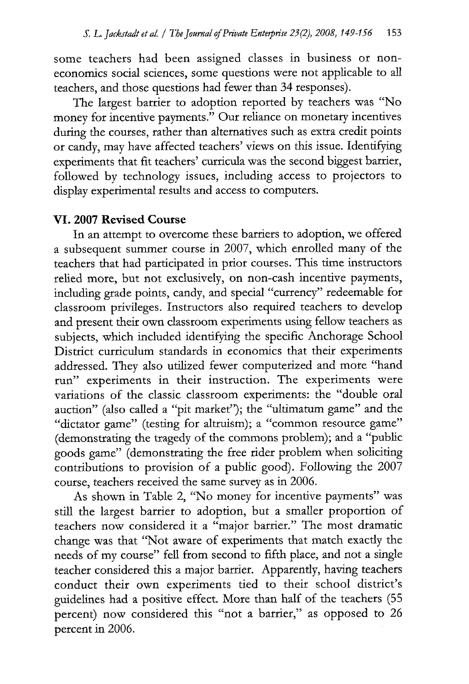some teachers had been assigned classes in business or noneconomics social sciences, some questions were not applicable to all teachers, and those questions had fewer than 34 responses).

The largest barrier to adoption reported by teachers was "No money for incentive payments." Our reliance on monetary incentives during the courses, rather than alternatives such as extra credit points or candy, may have affected teachers' views on this issue. Identifying experiments that fit teachers' curricula was the second biggest barrier, followed by technology issues, including access to projectors to display experimental results and access to computers.

### **VI. 2007 Revised Course**

In an attempt to overcome these barriers to adoption, we offered a subsequent summer course in 2007, which enrolled many of the teachers that had participated in prior courses. This time instructors relied more, but not exclusively, on non-cash incentive payments, including grade points, candy, and special "currency" redeemable for classroom privileges. Instructors also required teachers to develop and present their own classroom experiments using fellow teachers as subjects, which included identifying the specific Anchorage School District curriculum standards in economics that their experiments addressed. They also utilized fewer computerized and more "hand run" experiments in their instruction. The experiments were variations of the classic classroom experiments: the "double oral auction" (also called a "pit market"); the "ultimatum game" and the "dictator game" (testing for altruism); a "common resource game" (demonstrating the tragedy of the commons problem); and a "public goods game" (demonstrating the free rider problem when soliciting contributions to provision of a public good). Following the 2007 course, teachers received the same survey as in 2006.

As shown in Table 2, "No money for incentive payments" was still the largest barrier to adoption, but a smaller proportion of teachers now considered it a "major barrier." The most dramatic change was that "Not aware of experiments that match exactly the needs of my course" fell from second to fifth place, and not a single teacher considered this a major barrier. Apparently, having teachers conduct their own experiments tied to their school district's guidelines had a positive effect. More than half of the teachers (55 percent) now considered this "not a barrier," as opposed to 26 percent in 2006.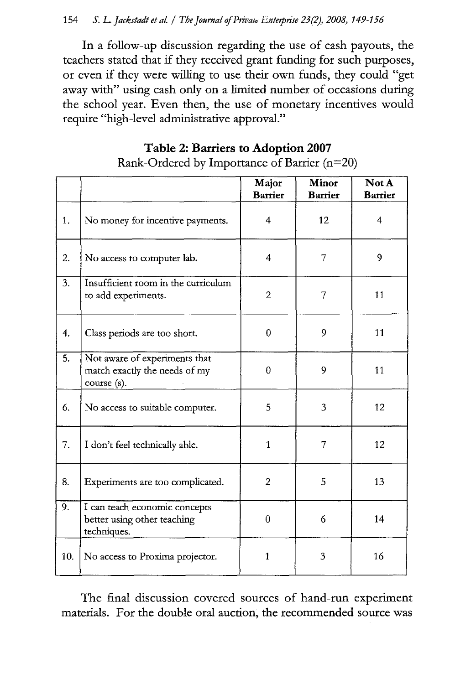#### 154 *S. L. Jackstadt et al.* / The Journal of Private Enterprise 23(2), 2008, 149-156

In a follow-up discussion regarding the use of cash payouts, the teachers stated that if they received grant funding for such purposes, or even if they were willing to use their own funds, they could "get away with" using cash only on a limited number of occasions during the school year. Even then, the use of monetary incentives would require "high-level administrative approval."

### **Table 2: Barriers to Adoption 2007**

|     |                                                                               | Major<br><b>Barrier</b> | Minor<br><b>Barrier</b> | Not A<br><b>Barrier</b> |
|-----|-------------------------------------------------------------------------------|-------------------------|-------------------------|-------------------------|
| 1.  | No money for incentive payments.                                              | 4                       | 12                      | $\overline{4}$          |
| 2.  | No access to computer lab.                                                    | 4                       | 7                       | 9                       |
| 3.  | Insufficient room in the curriculum<br>to add experiments.                    | $\overline{2}$          | 7                       | 11                      |
| 4.  | Class periods are too short.                                                  | $\theta$                | 9                       | 11                      |
| 5.  | Not aware of experiments that<br>match exactly the needs of my<br>course (s). | $\theta$                | 9                       | 11                      |
| 6.  | No access to suitable computer.                                               | 5                       | 3                       | 12                      |
| 7.  | I don't feel technically able.                                                | 1                       | 7                       | 12                      |
| 8.  | Experiments are too complicated.                                              | $\overline{2}$          | 5                       | 13                      |
| 9.  | I can teach economic concepts<br>better using other teaching<br>techniques.   | 0                       | 6                       | 14                      |
| 10. | No access to Proxima projector.                                               | $\mathbf{1}$            | 3                       | 16                      |

Rank-Ordered by Importance of Barrier (n=20)

The final discussion covered sources of hand-run experiment materials. For the double oral auction, the recommended source was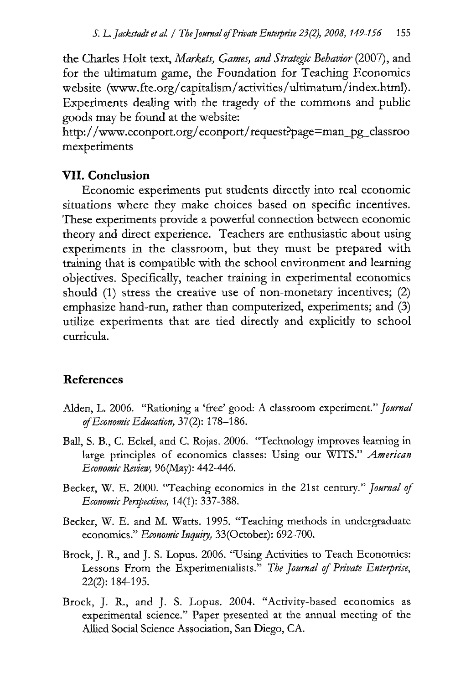the Charles Holt text, *Markets, Games, and Strategic Behavior* (2007), and for the ultimatum game, the Foundation for Teaching Economics website (www.fte.org/capitalism/activities/ultimatum/index.html). Experiments dealing with the tragedy of the commons and public goods may be found at the website:

http://www.econport.org/econport/request?page=man\_pg\_classroo mexperiments

#### **VII. Conclusion**

Economic experiments put students directly into real economic situations where they make choices based on specific incentives. These experiments provide a powerful connection between economic theory and direct experience. Teachers are enthusiastic about using experiments in the classroom, but they must be prepared with training that is compatible with the school environment and learning objectives. Specifically, teacher training in experimental economics should (1) stress the creative use of non-monetary incentives; (2) emphasize hand-run, rather than computerized, experiments; and (3) utilize experiments that are tied directly and explicitly to school curricula.

#### **References**

- Alden, L. 2006. "Rationing a 'free' good: A classroom experiment." *Journal of Economic Education,* 37(2): 178-186.
- Ball, S. B., C. Eckel, and C. Rojas. 2006. "Technology improves learning in large principles of economics classes: Using our WITS." *American Economic Review,* 96(May): 442-446.
- Becker, W. E. 2000. "Teaching economics in the 21st century." *Journal of Economic Perspectives,* 14(1): 337-388.
- Becker, W. E. and M. Watts. 1995. "Teaching methods in undergraduate economics." *Economic Inquiry*, 33(October): 692-700.
- Brock, *J.* R., and *J.* S. Lopus. 2006. "Using Activities to Teach Economics: Lessons From the Experimentalists." *The Journal of Private Enterprise,* 22(2): 184-195.
- Brock, *J.* R., and *J.* S. Lopus. 2004. "Activity-based economics as experimental science." Paper presented at the annual meeting of the Allied Social Science Association, San Diego, CA.